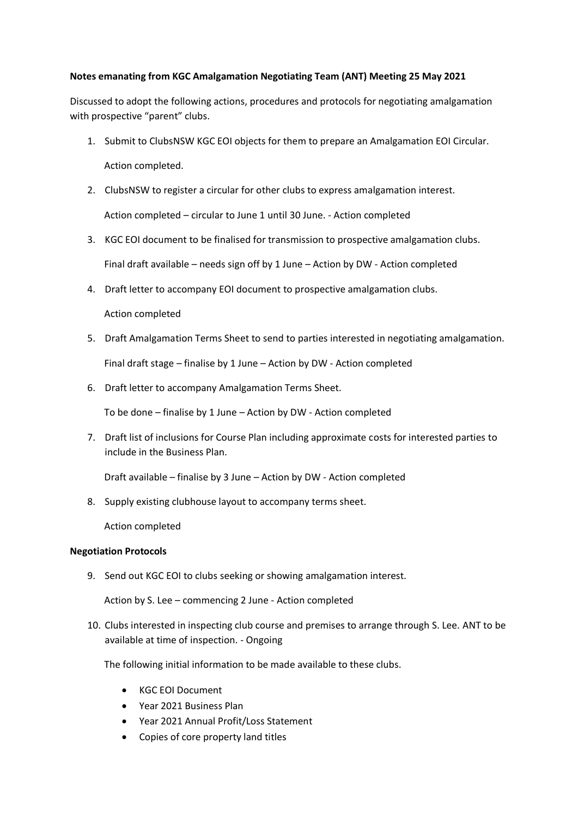## **Notes emanating from KGC Amalgamation Negotiating Team (ANT) Meeting 25 May 2021**

Discussed to adopt the following actions, procedures and protocols for negotiating amalgamation with prospective "parent" clubs.

- 1. Submit to ClubsNSW KGC EOI objects for them to prepare an Amalgamation EOI Circular. Action completed.
- 2. ClubsNSW to register a circular for other clubs to express amalgamation interest. Action completed – circular to June 1 until 30 June. - Action completed
- 3. KGC EOI document to be finalised for transmission to prospective amalgamation clubs. Final draft available – needs sign off by 1 June – Action by DW - Action completed
- 4. Draft letter to accompany EOI document to prospective amalgamation clubs.

Action completed

- 5. Draft Amalgamation Terms Sheet to send to parties interested in negotiating amalgamation. Final draft stage – finalise by 1 June – Action by DW - Action completed
- 6. Draft letter to accompany Amalgamation Terms Sheet.

To be done – finalise by 1 June – Action by DW - Action completed

7. Draft list of inclusions for Course Plan including approximate costs for interested parties to include in the Business Plan.

Draft available – finalise by 3 June – Action by DW - Action completed

8. Supply existing clubhouse layout to accompany terms sheet.

Action completed

## **Negotiation Protocols**

9. Send out KGC EOI to clubs seeking or showing amalgamation interest.

Action by S. Lee – commencing 2 June - Action completed

10. Clubs interested in inspecting club course and premises to arrange through S. Lee. ANT to be available at time of inspection. - Ongoing

The following initial information to be made available to these clubs.

- KGC EOI Document
- Year 2021 Business Plan
- Year 2021 Annual Profit/Loss Statement
- Copies of core property land titles